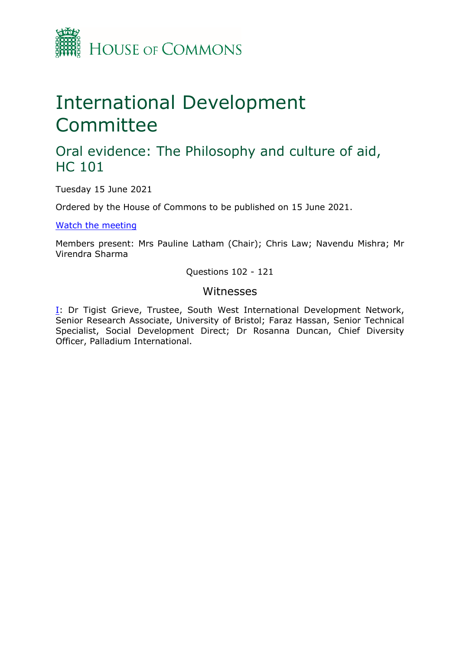

## International Development Committee

## Oral evidence: The Philosophy and culture of aid, HC 101

Tuesday 15 June 2021

Ordered by the House of Commons to be published on 15 June 2021.

[Watch](https://parliamentlive.tv/event/index/a20c21f7-6fd3-4493-8b55-69aa8403d3d5) [the](https://parliamentlive.tv/event/index/a20c21f7-6fd3-4493-8b55-69aa8403d3d5) [meeting](https://parliamentlive.tv/event/index/a20c21f7-6fd3-4493-8b55-69aa8403d3d5)

Members present: Mrs Pauline Latham (Chair); Chris Law; Navendu Mishra; Mr Virendra Sharma

Questions 102 - 121

## Witnesses

[I:](#page-1-0) Dr Tigist Grieve, Trustee, South West International Development Network, Senior Research Associate, University of Bristol; Faraz Hassan, Senior Technical Specialist, Social Development Direct; Dr Rosanna Duncan, Chief Diversity Officer, Palladium International.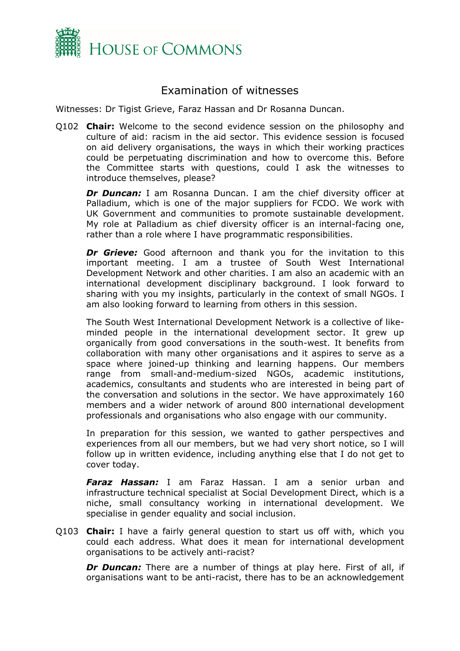

## Examination of witnesses

Witnesses: Dr Tigist Grieve, Faraz Hassan and Dr Rosanna Duncan.

<span id="page-1-0"></span>Q102 **Chair:** Welcome to the second evidence session on the philosophy and culture of aid: racism in the aid sector. This evidence session is focused on aid delivery organisations, the ways in which their working practices could be perpetuating discrimination and how to overcome this. Before the Committee starts with questions, could I ask the witnesses to introduce themselves, please?

**Dr Duncan:** I am Rosanna Duncan. I am the chief diversity officer at Palladium, which is one of the major suppliers for FCDO. We work with UK Government and communities to promote sustainable development. My role at Palladium as chief diversity officer is an internal-facing one, rather than a role where I have programmatic responsibilities.

**Dr Grieve:** Good afternoon and thank you for the invitation to this important meeting. I am a trustee of South West International Development Network and other charities. I am also an academic with an international development disciplinary background. I look forward to sharing with you my insights, particularly in the context of small NGOs. I am also looking forward to learning from others in this session.

The South West International Development Network is a collective of likeminded people in the international development sector. It grew up organically from good conversations in the south-west. It benefits from collaboration with many other organisations and it aspires to serve as a space where joined-up thinking and learning happens. Our members range from small-and-medium-sized NGOs, academic institutions, academics, consultants and students who are interested in being part of the conversation and solutions in the sector. We have approximately 160 members and a wider network of around 800 international development professionals and organisations who also engage with our community.

In preparation for this session, we wanted to gather perspectives and experiences from all our members, but we had very short notice, so I will follow up in written evidence, including anything else that I do not get to cover today.

*Faraz Hassan:* I am Faraz Hassan. I am a senior urban and infrastructure technical specialist at Social Development Direct, which is a niche, small consultancy working in international development. We specialise in gender equality and social inclusion.

Q103 **Chair:** I have a fairly general question to start us off with, which you could each address. What does it mean for international development organisations to be actively anti-racist?

*Dr Duncan:* There are a number of things at play here. First of all, if organisations want to be anti-racist, there has to be an acknowledgement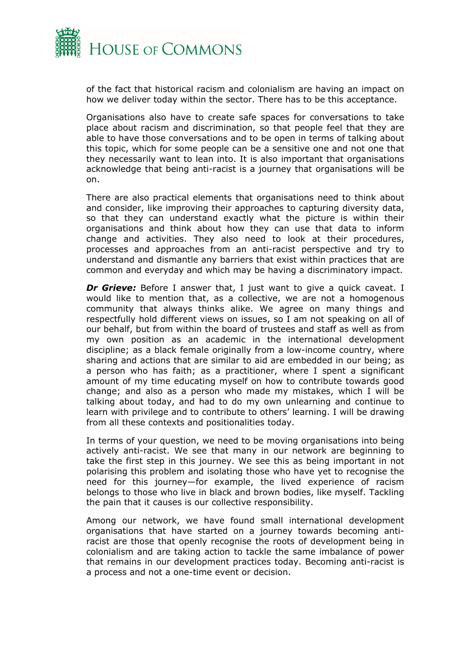

of the fact that historical racism and colonialism are having an impact on how we deliver today within the sector. There has to be this acceptance.

Organisations also have to create safe spaces for conversations to take place about racism and discrimination, so that people feel that they are able to have those conversations and to be open in terms of talking about this topic, which for some people can be a sensitive one and not one that they necessarily want to lean into. It is also important that organisations acknowledge that being anti-racist is a journey that organisations will be on.

There are also practical elements that organisations need to think about and consider, like improving their approaches to capturing diversity data, so that they can understand exactly what the picture is within their organisations and think about how they can use that data to inform change and activities. They also need to look at their procedures, processes and approaches from an anti-racist perspective and try to understand and dismantle any barriers that exist within practices that are common and everyday and which may be having a discriminatory impact.

**Dr Grieve:** Before I answer that, I just want to give a quick caveat. I would like to mention that, as a collective, we are not a homogenous community that always thinks alike. We agree on many things and respectfully hold different views on issues, so I am not speaking on all of our behalf, but from within the board of trustees and staff as well as from my own position as an academic in the international development discipline; as a black female originally from a low-income country, where sharing and actions that are similar to aid are embedded in our being; as a person who has faith; as a practitioner, where I spent a significant amount of my time educating myself on how to contribute towards good change; and also as a person who made my mistakes, which I will be talking about today, and had to do my own unlearning and continue to learn with privilege and to contribute to others' learning. I will be drawing from all these contexts and positionalities today.

In terms of your question, we need to be moving organisations into being actively anti-racist. We see that many in our network are beginning to take the first step in this journey. We see this as being important in not polarising this problem and isolating those who have yet to recognise the need for this journey—for example, the lived experience of racism belongs to those who live in black and brown bodies, like myself. Tackling the pain that it causes is our collective responsibility.

Among our network, we have found small international development organisations that have started on a journey towards becoming antiracist are those that openly recognise the roots of development being in colonialism and are taking action to tackle the same imbalance of power that remains in our development practices today. Becoming anti-racist is a process and not a one-time event or decision.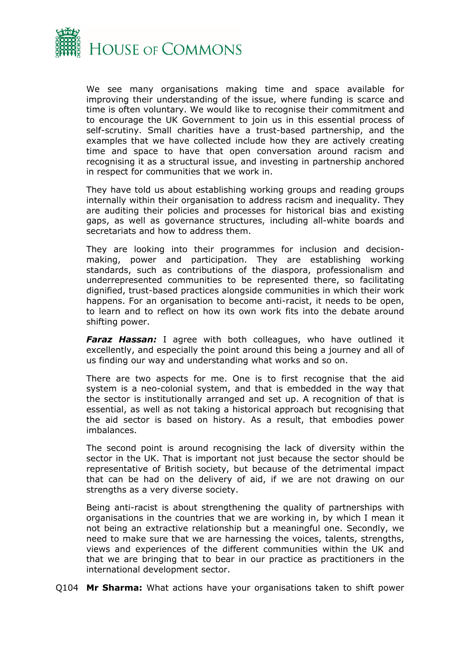

We see many organisations making time and space available for improving their understanding of the issue, where funding is scarce and time is often voluntary. We would like to recognise their commitment and to encourage the UK Government to join us in this essential process of self-scrutiny. Small charities have a trust-based partnership, and the examples that we have collected include how they are actively creating time and space to have that open conversation around racism and recognising it as a structural issue, and investing in partnership anchored in respect for communities that we work in.

They have told us about establishing working groups and reading groups internally within their organisation to address racism and inequality. They are auditing their policies and processes for historical bias and existing gaps, as well as governance structures, including all-white boards and secretariats and how to address them.

They are looking into their programmes for inclusion and decisionmaking, power and participation. They are establishing working standards, such as contributions of the diaspora, professionalism and underrepresented communities to be represented there, so facilitating dignified, trust-based practices alongside communities in which their work happens. For an organisation to become anti-racist, it needs to be open, to learn and to reflect on how its own work fits into the debate around shifting power.

*Faraz Hassan:* I agree with both colleagues, who have outlined it excellently, and especially the point around this being a journey and all of us finding our way and understanding what works and so on.

There are two aspects for me. One is to first recognise that the aid system is a neo-colonial system, and that is embedded in the way that the sector is institutionally arranged and set up. A recognition of that is essential, as well as not taking a historical approach but recognising that the aid sector is based on history. As a result, that embodies power imbalances.

The second point is around recognising the lack of diversity within the sector in the UK. That is important not just because the sector should be representative of British society, but because of the detrimental impact that can be had on the delivery of aid, if we are not drawing on our strengths as a very diverse society.

Being anti-racist is about strengthening the quality of partnerships with organisations in the countries that we are working in, by which I mean it not being an extractive relationship but a meaningful one. Secondly, we need to make sure that we are harnessing the voices, talents, strengths, views and experiences of the different communities within the UK and that we are bringing that to bear in our practice as practitioners in the international development sector.

Q104 **Mr Sharma:** What actions have your organisations taken to shift power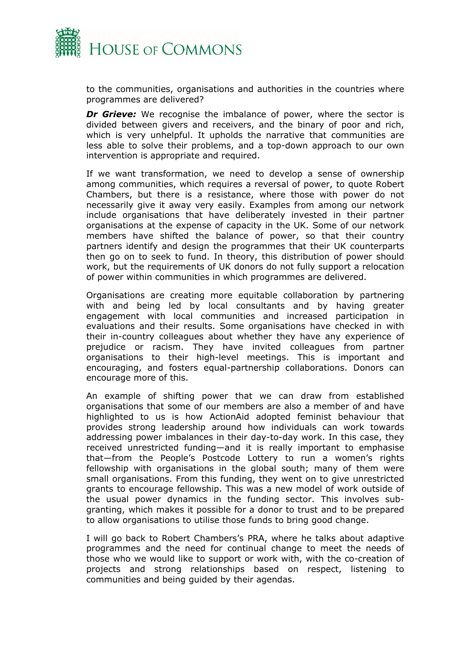

to the communities, organisations and authorities in the countries where programmes are delivered?

*Dr Grieve:* We recognise the imbalance of power, where the sector is divided between givers and receivers, and the binary of poor and rich, which is very unhelpful. It upholds the narrative that communities are less able to solve their problems, and a top-down approach to our own intervention is appropriate and required.

If we want transformation, we need to develop a sense of ownership among communities, which requires a reversal of power, to quote Robert Chambers, but there is a resistance, where those with power do not necessarily give it away very easily. Examples from among our network include organisations that have deliberately invested in their partner organisations at the expense of capacity in the UK. Some of our network members have shifted the balance of power, so that their country partners identify and design the programmes that their UK counterparts then go on to seek to fund. In theory, this distribution of power should work, but the requirements of UK donors do not fully support a relocation of power within communities in which programmes are delivered.

Organisations are creating more equitable collaboration by partnering with and being led by local consultants and by having greater engagement with local communities and increased participation in evaluations and their results. Some organisations have checked in with their in-country colleagues about whether they have any experience of prejudice or racism. They have invited colleagues from partner organisations to their high-level meetings. This is important and encouraging, and fosters equal-partnership collaborations. Donors can encourage more of this.

An example of shifting power that we can draw from established organisations that some of our members are also a member of and have highlighted to us is how ActionAid adopted feminist behaviour that provides strong leadership around how individuals can work towards addressing power imbalances in their day-to-day work. In this case, they received unrestricted funding—and it is really important to emphasise that—from the People's Postcode Lottery to run a women's rights fellowship with organisations in the global south; many of them were small organisations. From this funding, they went on to give unrestricted grants to encourage fellowship. This was a new model of work outside of the usual power dynamics in the funding sector. This involves subgranting, which makes it possible for a donor to trust and to be prepared to allow organisations to utilise those funds to bring good change.

I will go back to Robert Chambers's PRA, where he talks about adaptive programmes and the need for continual change to meet the needs of those who we would like to support or work with, with the co-creation of projects and strong relationships based on respect, listening to communities and being guided by their agendas.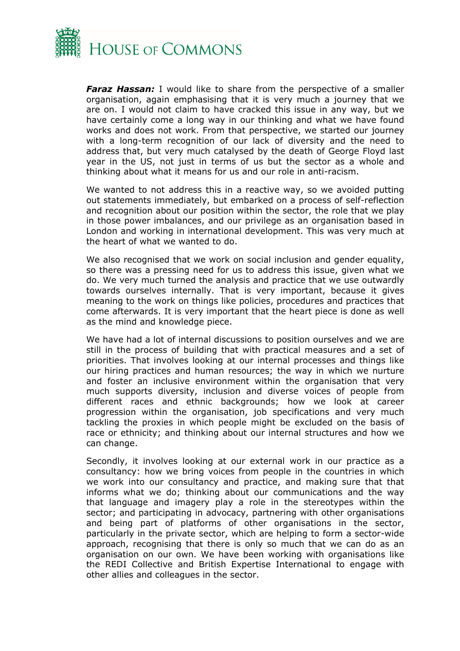

*Faraz Hassan:* I would like to share from the perspective of a smaller organisation, again emphasising that it is very much a journey that we are on. I would not claim to have cracked this issue in any way, but we have certainly come a long way in our thinking and what we have found works and does not work. From that perspective, we started our journey with a long-term recognition of our lack of diversity and the need to address that, but very much catalysed by the death of George Floyd last year in the US, not just in terms of us but the sector as a whole and thinking about what it means for us and our role in anti-racism.

We wanted to not address this in a reactive way, so we avoided putting out statements immediately, but embarked on a process of self-reflection and recognition about our position within the sector, the role that we play in those power imbalances, and our privilege as an organisation based in London and working in international development. This was very much at the heart of what we wanted to do.

We also recognised that we work on social inclusion and gender equality, so there was a pressing need for us to address this issue, given what we do. We very much turned the analysis and practice that we use outwardly towards ourselves internally. That is very important, because it gives meaning to the work on things like policies, procedures and practices that come afterwards. It is very important that the heart piece is done as well as the mind and knowledge piece.

We have had a lot of internal discussions to position ourselves and we are still in the process of building that with practical measures and a set of priorities. That involves looking at our internal processes and things like our hiring practices and human resources; the way in which we nurture and foster an inclusive environment within the organisation that very much supports diversity, inclusion and diverse voices of people from different races and ethnic backgrounds; how we look at career progression within the organisation, job specifications and very much tackling the proxies in which people might be excluded on the basis of race or ethnicity; and thinking about our internal structures and how we can change.

Secondly, it involves looking at our external work in our practice as a consultancy: how we bring voices from people in the countries in which we work into our consultancy and practice, and making sure that that informs what we do; thinking about our communications and the way that language and imagery play a role in the stereotypes within the sector; and participating in advocacy, partnering with other organisations and being part of platforms of other organisations in the sector, particularly in the private sector, which are helping to form a sector-wide approach, recognising that there is only so much that we can do as an organisation on our own. We have been working with organisations like the REDI Collective and British Expertise International to engage with other allies and colleagues in the sector.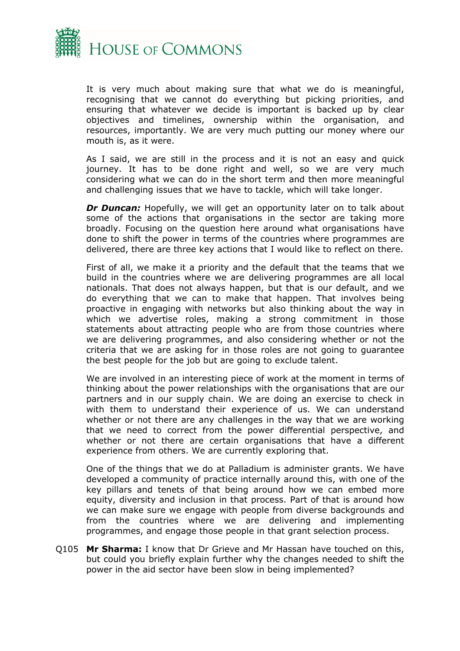

It is very much about making sure that what we do is meaningful, recognising that we cannot do everything but picking priorities, and ensuring that whatever we decide is important is backed up by clear objectives and timelines, ownership within the organisation, and resources, importantly. We are very much putting our money where our mouth is, as it were.

As I said, we are still in the process and it is not an easy and quick journey. It has to be done right and well, so we are very much considering what we can do in the short term and then more meaningful and challenging issues that we have to tackle, which will take longer.

**Dr Duncan:** Hopefully, we will get an opportunity later on to talk about some of the actions that organisations in the sector are taking more broadly. Focusing on the question here around what organisations have done to shift the power in terms of the countries where programmes are delivered, there are three key actions that I would like to reflect on there.

First of all, we make it a priority and the default that the teams that we build in the countries where we are delivering programmes are all local nationals. That does not always happen, but that is our default, and we do everything that we can to make that happen. That involves being proactive in engaging with networks but also thinking about the way in which we advertise roles, making a strong commitment in those statements about attracting people who are from those countries where we are delivering programmes, and also considering whether or not the criteria that we are asking for in those roles are not going to guarantee the best people for the job but are going to exclude talent.

We are involved in an interesting piece of work at the moment in terms of thinking about the power relationships with the organisations that are our partners and in our supply chain. We are doing an exercise to check in with them to understand their experience of us. We can understand whether or not there are any challenges in the way that we are working that we need to correct from the power differential perspective, and whether or not there are certain organisations that have a different experience from others. We are currently exploring that.

One of the things that we do at Palladium is administer grants. We have developed a community of practice internally around this, with one of the key pillars and tenets of that being around how we can embed more equity, diversity and inclusion in that process. Part of that is around how we can make sure we engage with people from diverse backgrounds and from the countries where we are delivering and implementing programmes, and engage those people in that grant selection process.

Q105 **Mr Sharma:** I know that Dr Grieve and Mr Hassan have touched on this, but could you briefly explain further why the changes needed to shift the power in the aid sector have been slow in being implemented?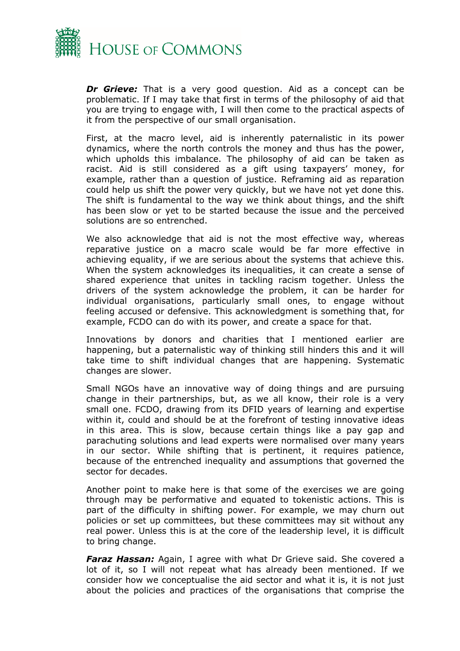

**Dr Grieve:** That is a very good question. Aid as a concept can be problematic. If I may take that first in terms of the philosophy of aid that you are trying to engage with, I will then come to the practical aspects of it from the perspective of our small organisation.

First, at the macro level, aid is inherently paternalistic in its power dynamics, where the north controls the money and thus has the power, which upholds this imbalance. The philosophy of aid can be taken as racist. Aid is still considered as a gift using taxpayers' money, for example, rather than a question of justice. Reframing aid as reparation could help us shift the power very quickly, but we have not yet done this. The shift is fundamental to the way we think about things, and the shift has been slow or yet to be started because the issue and the perceived solutions are so entrenched.

We also acknowledge that aid is not the most effective way, whereas reparative justice on a macro scale would be far more effective in achieving equality, if we are serious about the systems that achieve this. When the system acknowledges its inequalities, it can create a sense of shared experience that unites in tackling racism together. Unless the drivers of the system acknowledge the problem, it can be harder for individual organisations, particularly small ones, to engage without feeling accused or defensive. This acknowledgment is something that, for example, FCDO can do with its power, and create a space for that.

Innovations by donors and charities that I mentioned earlier are happening, but a paternalistic way of thinking still hinders this and it will take time to shift individual changes that are happening. Systematic changes are slower.

Small NGOs have an innovative way of doing things and are pursuing change in their partnerships, but, as we all know, their role is a very small one. FCDO, drawing from its DFID years of learning and expertise within it, could and should be at the forefront of testing innovative ideas in this area. This is slow, because certain things like a pay gap and parachuting solutions and lead experts were normalised over many years in our sector. While shifting that is pertinent, it requires patience, because of the entrenched inequality and assumptions that governed the sector for decades.

Another point to make here is that some of the exercises we are going through may be performative and equated to tokenistic actions. This is part of the difficulty in shifting power. For example, we may churn out policies or set up committees, but these committees may sit without any real power. Unless this is at the core of the leadership level, it is difficult to bring change.

*Faraz Hassan:* Again, I agree with what Dr Grieve said. She covered a lot of it, so I will not repeat what has already been mentioned. If we consider how we conceptualise the aid sector and what it is, it is not just about the policies and practices of the organisations that comprise the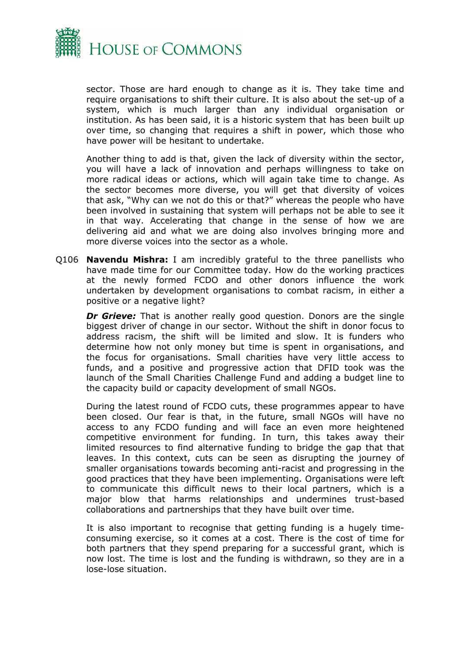

sector. Those are hard enough to change as it is. They take time and require organisations to shift their culture. It is also about the set-up of a system, which is much larger than any individual organisation or institution. As has been said, it is a historic system that has been built up over time, so changing that requires a shift in power, which those who have power will be hesitant to undertake.

Another thing to add is that, given the lack of diversity within the sector, you will have a lack of innovation and perhaps willingness to take on more radical ideas or actions, which will again take time to change. As the sector becomes more diverse, you will get that diversity of voices that ask, "Why can we not do this or that?" whereas the people who have been involved in sustaining that system will perhaps not be able to see it in that way. Accelerating that change in the sense of how we are delivering aid and what we are doing also involves bringing more and more diverse voices into the sector as a whole.

Q106 **Navendu Mishra:** I am incredibly grateful to the three panellists who have made time for our Committee today. How do the working practices at the newly formed FCDO and other donors influence the work undertaken by development organisations to combat racism, in either a positive or a negative light?

*Dr Grieve:* That is another really good question. Donors are the single biggest driver of change in our sector. Without the shift in donor focus to address racism, the shift will be limited and slow. It is funders who determine how not only money but time is spent in organisations, and the focus for organisations. Small charities have very little access to funds, and a positive and progressive action that DFID took was the launch of the Small Charities Challenge Fund and adding a budget line to the capacity build or capacity development of small NGOs.

During the latest round of FCDO cuts, these programmes appear to have been closed. Our fear is that, in the future, small NGOs will have no access to any FCDO funding and will face an even more heightened competitive environment for funding. In turn, this takes away their limited resources to find alternative funding to bridge the gap that that leaves. In this context, cuts can be seen as disrupting the journey of smaller organisations towards becoming anti-racist and progressing in the good practices that they have been implementing. Organisations were left to communicate this difficult news to their local partners, which is a major blow that harms relationships and undermines trust-based collaborations and partnerships that they have built over time.

It is also important to recognise that getting funding is a hugely timeconsuming exercise, so it comes at a cost. There is the cost of time for both partners that they spend preparing for a successful grant, which is now lost. The time is lost and the funding is withdrawn, so they are in a lose-lose situation.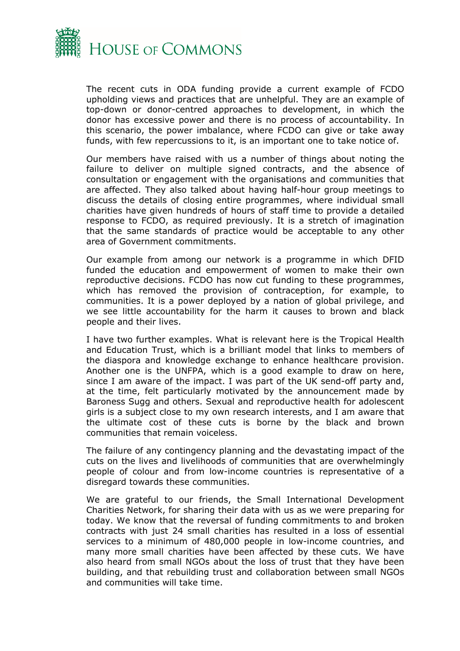

The recent cuts in ODA funding provide a current example of FCDO upholding views and practices that are unhelpful. They are an example of top-down or donor-centred approaches to development, in which the donor has excessive power and there is no process of accountability. In this scenario, the power imbalance, where FCDO can give or take away funds, with few repercussions to it, is an important one to take notice of.

Our members have raised with us a number of things about noting the failure to deliver on multiple signed contracts, and the absence of consultation or engagement with the organisations and communities that are affected. They also talked about having half-hour group meetings to discuss the details of closing entire programmes, where individual small charities have given hundreds of hours of staff time to provide a detailed response to FCDO, as required previously. It is a stretch of imagination that the same standards of practice would be acceptable to any other area of Government commitments.

Our example from among our network is a programme in which DFID funded the education and empowerment of women to make their own reproductive decisions. FCDO has now cut funding to these programmes, which has removed the provision of contraception, for example, to communities. It is a power deployed by a nation of global privilege, and we see little accountability for the harm it causes to brown and black people and their lives.

I have two further examples. What is relevant here is the Tropical Health and Education Trust, which is a brilliant model that links to members of the diaspora and knowledge exchange to enhance healthcare provision. Another one is the UNFPA, which is a good example to draw on here, since I am aware of the impact. I was part of the UK send-off party and, at the time, felt particularly motivated by the announcement made by Baroness Sugg and others. Sexual and reproductive health for adolescent girls is a subject close to my own research interests, and I am aware that the ultimate cost of these cuts is borne by the black and brown communities that remain voiceless.

The failure of any contingency planning and the devastating impact of the cuts on the lives and livelihoods of communities that are overwhelmingly people of colour and from low-income countries is representative of a disregard towards these communities.

We are grateful to our friends, the Small International Development Charities Network, for sharing their data with us as we were preparing for today. We know that the reversal of funding commitments to and broken contracts with just 24 small charities has resulted in a loss of essential services to a minimum of 480,000 people in low-income countries, and many more small charities have been affected by these cuts. We have also heard from small NGOs about the loss of trust that they have been building, and that rebuilding trust and collaboration between small NGOs and communities will take time.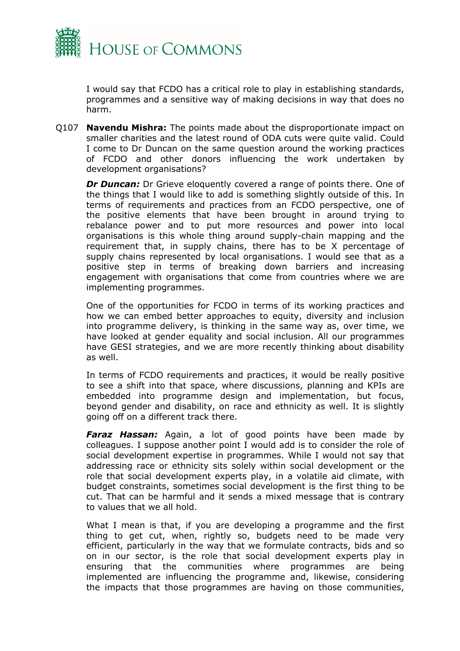

I would say that FCDO has a critical role to play in establishing standards, programmes and a sensitive way of making decisions in way that does no harm.

Q107 **Navendu Mishra:** The points made about the disproportionate impact on smaller charities and the latest round of ODA cuts were quite valid. Could I come to Dr Duncan on the same question around the working practices of FCDO and other donors influencing the work undertaken by development organisations?

*Dr Duncan:* Dr Grieve eloquently covered a range of points there. One of the things that I would like to add is something slightly outside of this. In terms of requirements and practices from an FCDO perspective, one of the positive elements that have been brought in around trying to rebalance power and to put more resources and power into local organisations is this whole thing around supply-chain mapping and the requirement that, in supply chains, there has to be X percentage of supply chains represented by local organisations. I would see that as a positive step in terms of breaking down barriers and increasing engagement with organisations that come from countries where we are implementing programmes.

One of the opportunities for FCDO in terms of its working practices and how we can embed better approaches to equity, diversity and inclusion into programme delivery, is thinking in the same way as, over time, we have looked at gender equality and social inclusion. All our programmes have GESI strategies, and we are more recently thinking about disability as well.

In terms of FCDO requirements and practices, it would be really positive to see a shift into that space, where discussions, planning and KPIs are embedded into programme design and implementation, but focus, beyond gender and disability, on race and ethnicity as well. It is slightly going off on a different track there.

*Faraz Hassan:* Again, a lot of good points have been made by colleagues. I suppose another point I would add is to consider the role of social development expertise in programmes. While I would not say that addressing race or ethnicity sits solely within social development or the role that social development experts play, in a volatile aid climate, with budget constraints, sometimes social development is the first thing to be cut. That can be harmful and it sends a mixed message that is contrary to values that we all hold.

What I mean is that, if you are developing a programme and the first thing to get cut, when, rightly so, budgets need to be made very efficient, particularly in the way that we formulate contracts, bids and so on in our sector, is the role that social development experts play in ensuring that the communities where programmes are being implemented are influencing the programme and, likewise, considering the impacts that those programmes are having on those communities,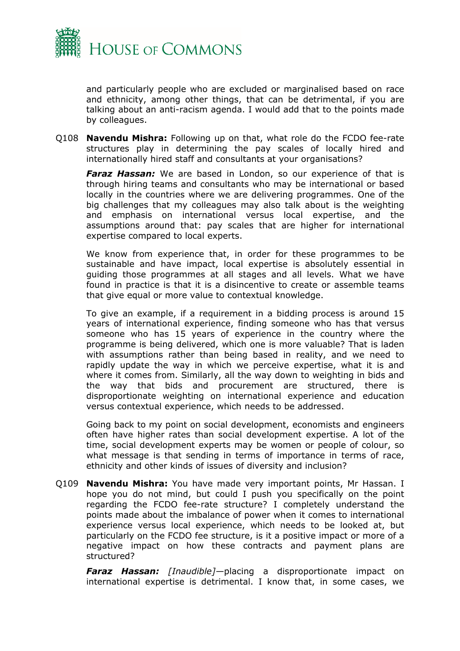

and particularly people who are excluded or marginalised based on race and ethnicity, among other things, that can be detrimental, if you are talking about an anti-racism agenda. I would add that to the points made by colleagues.

Q108 **Navendu Mishra:** Following up on that, what role do the FCDO fee-rate structures play in determining the pay scales of locally hired and internationally hired staff and consultants at your organisations?

*Faraz Hassan:* We are based in London, so our experience of that is through hiring teams and consultants who may be international or based locally in the countries where we are delivering programmes. One of the big challenges that my colleagues may also talk about is the weighting and emphasis on international versus local expertise, and the assumptions around that: pay scales that are higher for international expertise compared to local experts.

We know from experience that, in order for these programmes to be sustainable and have impact, local expertise is absolutely essential in guiding those programmes at all stages and all levels. What we have found in practice is that it is a disincentive to create or assemble teams that give equal or more value to contextual knowledge.

To give an example, if a requirement in a bidding process is around 15 years of international experience, finding someone who has that versus someone who has 15 years of experience in the country where the programme is being delivered, which one is more valuable? That is laden with assumptions rather than being based in reality, and we need to rapidly update the way in which we perceive expertise, what it is and where it comes from. Similarly, all the way down to weighting in bids and the way that bids and procurement are structured, there is disproportionate weighting on international experience and education versus contextual experience, which needs to be addressed.

Going back to my point on social development, economists and engineers often have higher rates than social development expertise. A lot of the time, social development experts may be women or people of colour, so what message is that sending in terms of importance in terms of race, ethnicity and other kinds of issues of diversity and inclusion?

Q109 **Navendu Mishra:** You have made very important points, Mr Hassan. I hope you do not mind, but could I push you specifically on the point regarding the FCDO fee-rate structure? I completely understand the points made about the imbalance of power when it comes to international experience versus local experience, which needs to be looked at, but particularly on the FCDO fee structure, is it a positive impact or more of a negative impact on how these contracts and payment plans are structured?

*Faraz Hassan: [Inaudible]—*placing a disproportionate impact on international expertise is detrimental. I know that, in some cases, we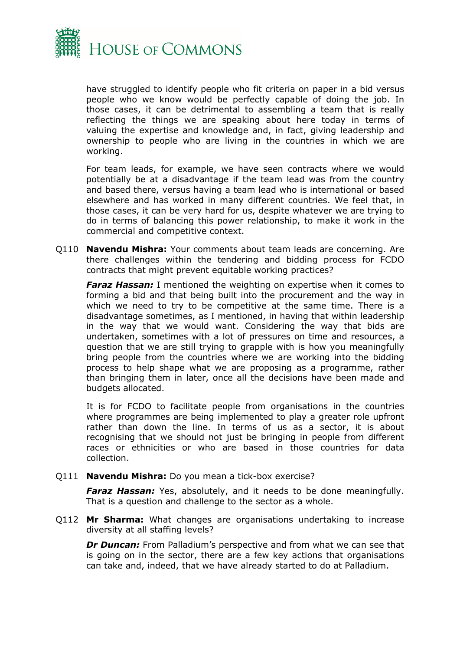

have struggled to identify people who fit criteria on paper in a bid versus people who we know would be perfectly capable of doing the job. In those cases, it can be detrimental to assembling a team that is really reflecting the things we are speaking about here today in terms of valuing the expertise and knowledge and, in fact, giving leadership and ownership to people who are living in the countries in which we are working.

For team leads, for example, we have seen contracts where we would potentially be at a disadvantage if the team lead was from the country and based there, versus having a team lead who is international or based elsewhere and has worked in many different countries. We feel that, in those cases, it can be very hard for us, despite whatever we are trying to do in terms of balancing this power relationship, to make it work in the commercial and competitive context.

Q110 **Navendu Mishra:** Your comments about team leads are concerning. Are there challenges within the tendering and bidding process for FCDO contracts that might prevent equitable working practices?

*Faraz Hassan:* I mentioned the weighting on expertise when it comes to forming a bid and that being built into the procurement and the way in which we need to try to be competitive at the same time. There is a disadvantage sometimes, as I mentioned, in having that within leadership in the way that we would want. Considering the way that bids are undertaken, sometimes with a lot of pressures on time and resources, a question that we are still trying to grapple with is how you meaningfully bring people from the countries where we are working into the bidding process to help shape what we are proposing as a programme, rather than bringing them in later, once all the decisions have been made and budgets allocated.

It is for FCDO to facilitate people from organisations in the countries where programmes are being implemented to play a greater role upfront rather than down the line. In terms of us as a sector, it is about recognising that we should not just be bringing in people from different races or ethnicities or who are based in those countries for data collection.

Q111 **Navendu Mishra:** Do you mean a tick-box exercise?

*Faraz Hassan:* Yes, absolutely, and it needs to be done meaningfully. That is a question and challenge to the sector as a whole.

Q112 **Mr Sharma:** What changes are organisations undertaking to increase diversity at all staffing levels?

*Dr Duncan:* From Palladium's perspective and from what we can see that is going on in the sector, there are a few key actions that organisations can take and, indeed, that we have already started to do at Palladium.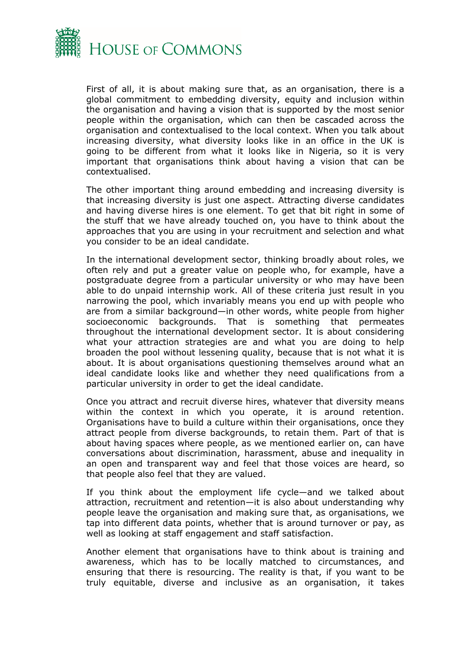

First of all, it is about making sure that, as an organisation, there is a global commitment to embedding diversity, equity and inclusion within the organisation and having a vision that is supported by the most senior people within the organisation, which can then be cascaded across the organisation and contextualised to the local context. When you talk about increasing diversity, what diversity looks like in an office in the UK is going to be different from what it looks like in Nigeria, so it is very important that organisations think about having a vision that can be contextualised.

The other important thing around embedding and increasing diversity is that increasing diversity is just one aspect. Attracting diverse candidates and having diverse hires is one element. To get that bit right in some of the stuff that we have already touched on, you have to think about the approaches that you are using in your recruitment and selection and what you consider to be an ideal candidate.

In the international development sector, thinking broadly about roles, we often rely and put a greater value on people who, for example, have a postgraduate degree from a particular university or who may have been able to do unpaid internship work. All of these criteria just result in you narrowing the pool, which invariably means you end up with people who are from a similar background—in other words, white people from higher socioeconomic backgrounds. That is something that permeates throughout the international development sector. It is about considering what your attraction strategies are and what you are doing to help broaden the pool without lessening quality, because that is not what it is about. It is about organisations questioning themselves around what an ideal candidate looks like and whether they need qualifications from a particular university in order to get the ideal candidate.

Once you attract and recruit diverse hires, whatever that diversity means within the context in which you operate, it is around retention. Organisations have to build a culture within their organisations, once they attract people from diverse backgrounds, to retain them. Part of that is about having spaces where people, as we mentioned earlier on, can have conversations about discrimination, harassment, abuse and inequality in an open and transparent way and feel that those voices are heard, so that people also feel that they are valued.

If you think about the employment life cycle—and we talked about attraction, recruitment and retention—it is also about understanding why people leave the organisation and making sure that, as organisations, we tap into different data points, whether that is around turnover or pay, as well as looking at staff engagement and staff satisfaction.

Another element that organisations have to think about is training and awareness, which has to be locally matched to circumstances, and ensuring that there is resourcing. The reality is that, if you want to be truly equitable, diverse and inclusive as an organisation, it takes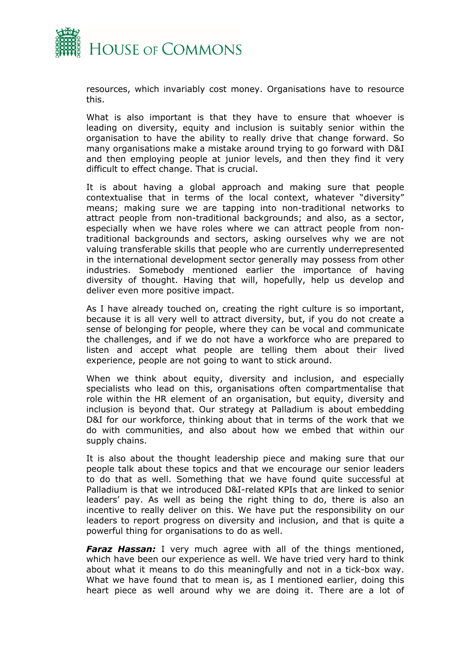

resources, which invariably cost money. Organisations have to resource this.

What is also important is that they have to ensure that whoever is leading on diversity, equity and inclusion is suitably senior within the organisation to have the ability to really drive that change forward. So many organisations make a mistake around trying to go forward with D&I and then employing people at junior levels, and then they find it very difficult to effect change. That is crucial.

It is about having a global approach and making sure that people contextualise that in terms of the local context, whatever "diversity" means; making sure we are tapping into non-traditional networks to attract people from non-traditional backgrounds; and also, as a sector, especially when we have roles where we can attract people from nontraditional backgrounds and sectors, asking ourselves why we are not valuing transferable skills that people who are currently underrepresented in the international development sector generally may possess from other industries. Somebody mentioned earlier the importance of having diversity of thought. Having that will, hopefully, help us develop and deliver even more positive impact.

As I have already touched on, creating the right culture is so important, because it is all very well to attract diversity, but, if you do not create a sense of belonging for people, where they can be vocal and communicate the challenges, and if we do not have a workforce who are prepared to listen and accept what people are telling them about their lived experience, people are not going to want to stick around.

When we think about equity, diversity and inclusion, and especially specialists who lead on this, organisations often compartmentalise that role within the HR element of an organisation, but equity, diversity and inclusion is beyond that. Our strategy at Palladium is about embedding D&I for our workforce, thinking about that in terms of the work that we do with communities, and also about how we embed that within our supply chains.

It is also about the thought leadership piece and making sure that our people talk about these topics and that we encourage our senior leaders to do that as well. Something that we have found quite successful at Palladium is that we introduced D&I-related KPIs that are linked to senior leaders' pay. As well as being the right thing to do, there is also an incentive to really deliver on this. We have put the responsibility on our leaders to report progress on diversity and inclusion, and that is quite a powerful thing for organisations to do as well.

*Faraz Hassan:* I very much agree with all of the things mentioned, which have been our experience as well. We have tried very hard to think about what it means to do this meaningfully and not in a tick-box way. What we have found that to mean is, as I mentioned earlier, doing this heart piece as well around why we are doing it. There are a lot of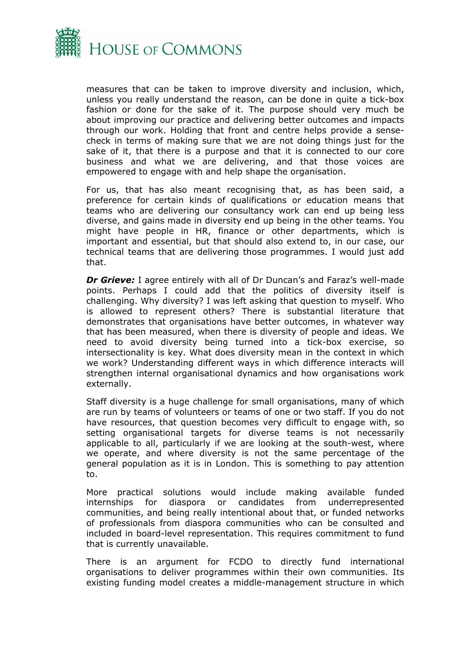

measures that can be taken to improve diversity and inclusion, which, unless you really understand the reason, can be done in quite a tick-box fashion or done for the sake of it. The purpose should very much be about improving our practice and delivering better outcomes and impacts through our work. Holding that front and centre helps provide a sensecheck in terms of making sure that we are not doing things just for the sake of it, that there is a purpose and that it is connected to our core business and what we are delivering, and that those voices are empowered to engage with and help shape the organisation.

For us, that has also meant recognising that, as has been said, a preference for certain kinds of qualifications or education means that teams who are delivering our consultancy work can end up being less diverse, and gains made in diversity end up being in the other teams. You might have people in HR, finance or other departments, which is important and essential, but that should also extend to, in our case, our technical teams that are delivering those programmes. I would just add that.

*Dr Grieve:* I agree entirely with all of Dr Duncan's and Faraz's well-made points. Perhaps I could add that the politics of diversity itself is challenging. Why diversity? I was left asking that question to myself. Who is allowed to represent others? There is substantial literature that demonstrates that organisations have better outcomes, in whatever way that has been measured, when there is diversity of people and ideas. We need to avoid diversity being turned into a tick-box exercise, so intersectionality is key. What does diversity mean in the context in which we work? Understanding different ways in which difference interacts will strengthen internal organisational dynamics and how organisations work externally.

Staff diversity is a huge challenge for small organisations, many of which are run by teams of volunteers or teams of one or two staff. If you do not have resources, that question becomes very difficult to engage with, so setting organisational targets for diverse teams is not necessarily applicable to all, particularly if we are looking at the south-west, where we operate, and where diversity is not the same percentage of the general population as it is in London. This is something to pay attention to.

More practical solutions would include making available funded internships for diaspora or candidates from underrepresented communities, and being really intentional about that, or funded networks of professionals from diaspora communities who can be consulted and included in board-level representation. This requires commitment to fund that is currently unavailable.

There is an argument for FCDO to directly fund international organisations to deliver programmes within their own communities. Its existing funding model creates a middle-management structure in which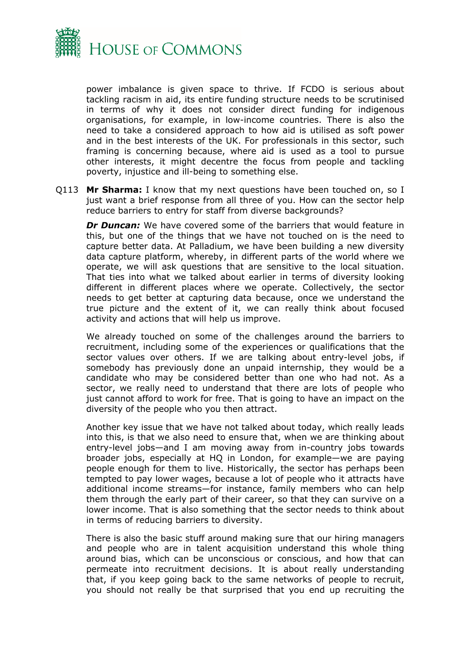

power imbalance is given space to thrive. If FCDO is serious about tackling racism in aid, its entire funding structure needs to be scrutinised in terms of why it does not consider direct funding for indigenous organisations, for example, in low-income countries. There is also the need to take a considered approach to how aid is utilised as soft power and in the best interests of the UK. For professionals in this sector, such framing is concerning because, where aid is used as a tool to pursue other interests, it might decentre the focus from people and tackling poverty, injustice and ill-being to something else.

Q113 **Mr Sharma:** I know that my next questions have been touched on, so I just want a brief response from all three of you. How can the sector help reduce barriers to entry for staff from diverse backgrounds?

*Dr Duncan:* We have covered some of the barriers that would feature in this, but one of the things that we have not touched on is the need to capture better data. At Palladium, we have been building a new diversity data capture platform, whereby, in different parts of the world where we operate, we will ask questions that are sensitive to the local situation. That ties into what we talked about earlier in terms of diversity looking different in different places where we operate. Collectively, the sector needs to get better at capturing data because, once we understand the true picture and the extent of it, we can really think about focused activity and actions that will help us improve.

We already touched on some of the challenges around the barriers to recruitment, including some of the experiences or qualifications that the sector values over others. If we are talking about entry-level jobs, if somebody has previously done an unpaid internship, they would be a candidate who may be considered better than one who had not. As a sector, we really need to understand that there are lots of people who just cannot afford to work for free. That is going to have an impact on the diversity of the people who you then attract.

Another key issue that we have not talked about today, which really leads into this, is that we also need to ensure that, when we are thinking about entry-level jobs—and I am moving away from in-country jobs towards broader jobs, especially at HQ in London, for example—we are paying people enough for them to live. Historically, the sector has perhaps been tempted to pay lower wages, because a lot of people who it attracts have additional income streams—for instance, family members who can help them through the early part of their career, so that they can survive on a lower income. That is also something that the sector needs to think about in terms of reducing barriers to diversity.

There is also the basic stuff around making sure that our hiring managers and people who are in talent acquisition understand this whole thing around bias, which can be unconscious or conscious, and how that can permeate into recruitment decisions. It is about really understanding that, if you keep going back to the same networks of people to recruit, you should not really be that surprised that you end up recruiting the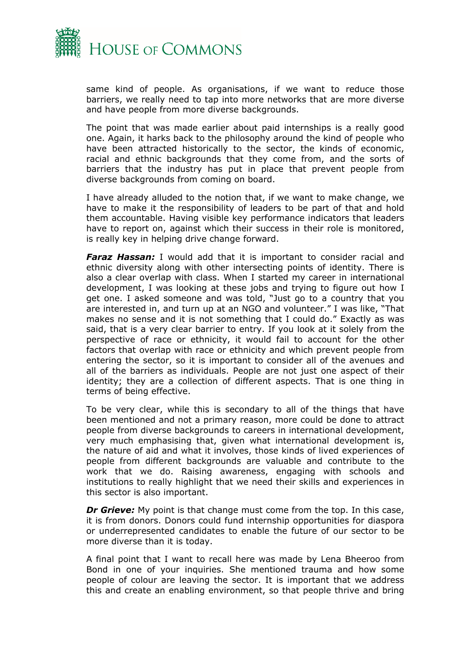

same kind of people. As organisations, if we want to reduce those barriers, we really need to tap into more networks that are more diverse and have people from more diverse backgrounds.

The point that was made earlier about paid internships is a really good one. Again, it harks back to the philosophy around the kind of people who have been attracted historically to the sector, the kinds of economic, racial and ethnic backgrounds that they come from, and the sorts of barriers that the industry has put in place that prevent people from diverse backgrounds from coming on board.

I have already alluded to the notion that, if we want to make change, we have to make it the responsibility of leaders to be part of that and hold them accountable. Having visible key performance indicators that leaders have to report on, against which their success in their role is monitored, is really key in helping drive change forward.

*Faraz Hassan:* I would add that it is important to consider racial and ethnic diversity along with other intersecting points of identity. There is also a clear overlap with class. When I started my career in international development, I was looking at these jobs and trying to figure out how I get one. I asked someone and was told, "Just go to a country that you are interested in, and turn up at an NGO and volunteer." I was like, "That makes no sense and it is not something that I could do." Exactly as was said, that is a very clear barrier to entry. If you look at it solely from the perspective of race or ethnicity, it would fail to account for the other factors that overlap with race or ethnicity and which prevent people from entering the sector, so it is important to consider all of the avenues and all of the barriers as individuals. People are not just one aspect of their identity; they are a collection of different aspects. That is one thing in terms of being effective.

To be very clear, while this is secondary to all of the things that have been mentioned and not a primary reason, more could be done to attract people from diverse backgrounds to careers in international development, very much emphasising that, given what international development is, the nature of aid and what it involves, those kinds of lived experiences of people from different backgrounds are valuable and contribute to the work that we do. Raising awareness, engaging with schools and institutions to really highlight that we need their skills and experiences in this sector is also important.

*Dr Grieve:* My point is that change must come from the top. In this case, it is from donors. Donors could fund internship opportunities for diaspora or underrepresented candidates to enable the future of our sector to be more diverse than it is today.

A final point that I want to recall here was made by Lena Bheeroo from Bond in one of your inquiries. She mentioned trauma and how some people of colour are leaving the sector. It is important that we address this and create an enabling environment, so that people thrive and bring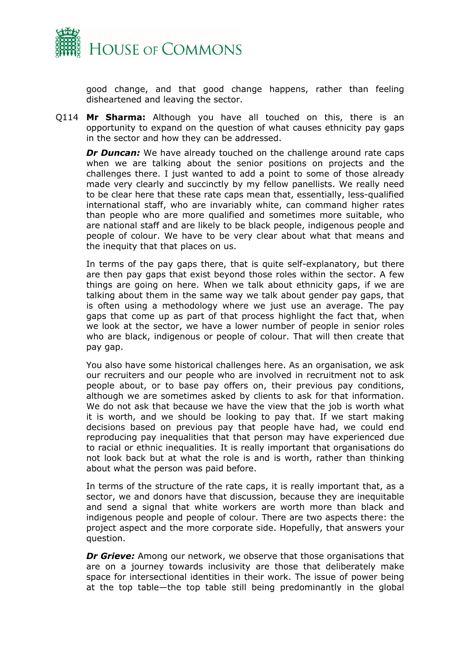

good change, and that good change happens, rather than feeling disheartened and leaving the sector.

Q114 **Mr Sharma:** Although you have all touched on this, there is an opportunity to expand on the question of what causes ethnicity pay gaps in the sector and how they can be addressed.

**Dr Duncan:** We have already touched on the challenge around rate caps when we are talking about the senior positions on projects and the challenges there. I just wanted to add a point to some of those already made very clearly and succinctly by my fellow panellists. We really need to be clear here that these rate caps mean that, essentially, less-qualified international staff, who are invariably white, can command higher rates than people who are more qualified and sometimes more suitable, who are national staff and are likely to be black people, indigenous people and people of colour. We have to be very clear about what that means and the inequity that that places on us.

In terms of the pay gaps there, that is quite self-explanatory, but there are then pay gaps that exist beyond those roles within the sector. A few things are going on here. When we talk about ethnicity gaps, if we are talking about them in the same way we talk about gender pay gaps, that is often using a methodology where we just use an average. The pay gaps that come up as part of that process highlight the fact that, when we look at the sector, we have a lower number of people in senior roles who are black, indigenous or people of colour. That will then create that pay gap.

You also have some historical challenges here. As an organisation, we ask our recruiters and our people who are involved in recruitment not to ask people about, or to base pay offers on, their previous pay conditions, although we are sometimes asked by clients to ask for that information. We do not ask that because we have the view that the job is worth what it is worth, and we should be looking to pay that. If we start making decisions based on previous pay that people have had, we could end reproducing pay inequalities that that person may have experienced due to racial or ethnic inequalities. It is really important that organisations do not look back but at what the role is and is worth, rather than thinking about what the person was paid before.

In terms of the structure of the rate caps, it is really important that, as a sector, we and donors have that discussion, because they are inequitable and send a signal that white workers are worth more than black and indigenous people and people of colour. There are two aspects there: the project aspect and the more corporate side. Hopefully, that answers your question.

*Dr Grieve:* Among our network, we observe that those organisations that are on a journey towards inclusivity are those that deliberately make space for intersectional identities in their work. The issue of power being at the top table—the top table still being predominantly in the global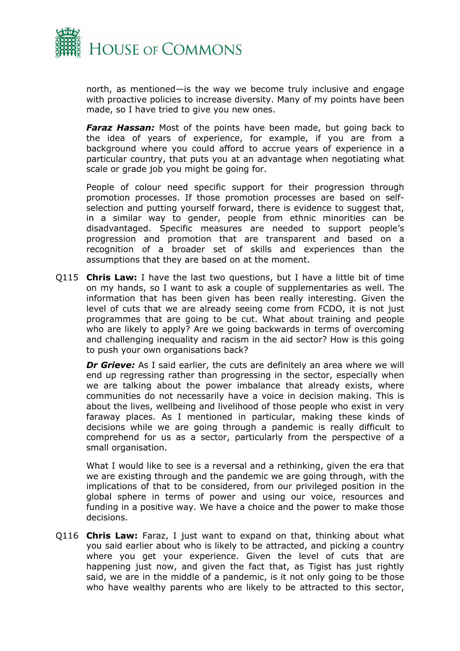

north, as mentioned—is the way we become truly inclusive and engage with proactive policies to increase diversity. Many of my points have been made, so I have tried to give you new ones.

*Faraz Hassan:* Most of the points have been made, but going back to the idea of years of experience, for example, if you are from a background where you could afford to accrue years of experience in a particular country, that puts you at an advantage when negotiating what scale or grade job you might be going for.

People of colour need specific support for their progression through promotion processes. If those promotion processes are based on selfselection and putting yourself forward, there is evidence to suggest that, in a similar way to gender, people from ethnic minorities can be disadvantaged. Specific measures are needed to support people's progression and promotion that are transparent and based on a recognition of a broader set of skills and experiences than the assumptions that they are based on at the moment.

Q115 **Chris Law:** I have the last two questions, but I have a little bit of time on my hands, so I want to ask a couple of supplementaries as well. The information that has been given has been really interesting. Given the level of cuts that we are already seeing come from FCDO, it is not just programmes that are going to be cut. What about training and people who are likely to apply? Are we going backwards in terms of overcoming and challenging inequality and racism in the aid sector? How is this going to push your own organisations back?

**Dr Grieve:** As I said earlier, the cuts are definitely an area where we will end up regressing rather than progressing in the sector, especially when we are talking about the power imbalance that already exists, where communities do not necessarily have a voice in decision making. This is about the lives, wellbeing and livelihood of those people who exist in very faraway places. As I mentioned in particular, making these kinds of decisions while we are going through a pandemic is really difficult to comprehend for us as a sector, particularly from the perspective of a small organisation.

What I would like to see is a reversal and a rethinking, given the era that we are existing through and the pandemic we are going through, with the implications of that to be considered, from our privileged position in the global sphere in terms of power and using our voice, resources and funding in a positive way. We have a choice and the power to make those decisions.

Q116 **Chris Law:** Faraz, I just want to expand on that, thinking about what you said earlier about who is likely to be attracted, and picking a country where you get your experience. Given the level of cuts that are happening just now, and given the fact that, as Tigist has just rightly said, we are in the middle of a pandemic, is it not only going to be those who have wealthy parents who are likely to be attracted to this sector,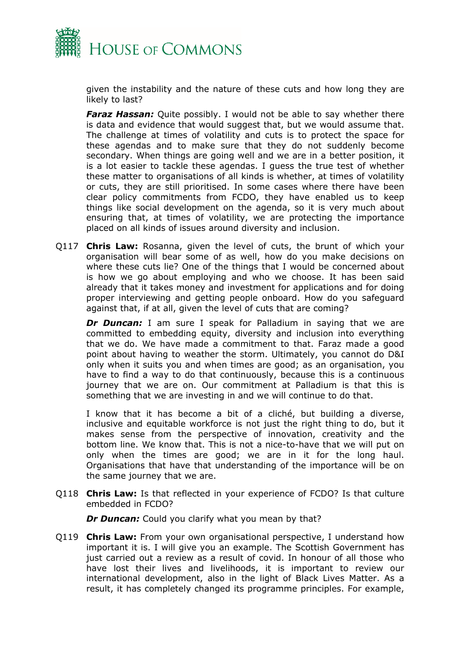

given the instability and the nature of these cuts and how long they are likely to last?

*Faraz Hassan:* Quite possibly. I would not be able to say whether there is data and evidence that would suggest that, but we would assume that. The challenge at times of volatility and cuts is to protect the space for these agendas and to make sure that they do not suddenly become secondary. When things are going well and we are in a better position, it is a lot easier to tackle these agendas. I guess the true test of whether these matter to organisations of all kinds is whether, at times of volatility or cuts, they are still prioritised. In some cases where there have been clear policy commitments from FCDO, they have enabled us to keep things like social development on the agenda, so it is very much about ensuring that, at times of volatility, we are protecting the importance placed on all kinds of issues around diversity and inclusion.

Q117 **Chris Law:** Rosanna, given the level of cuts, the brunt of which your organisation will bear some of as well, how do you make decisions on where these cuts lie? One of the things that I would be concerned about is how we go about employing and who we choose. It has been said already that it takes money and investment for applications and for doing proper interviewing and getting people onboard. How do you safeguard against that, if at all, given the level of cuts that are coming?

*Dr Duncan:* I am sure I speak for Palladium in saying that we are committed to embedding equity, diversity and inclusion into everything that we do. We have made a commitment to that. Faraz made a good point about having to weather the storm. Ultimately, you cannot do D&I only when it suits you and when times are good; as an organisation, you have to find a way to do that continuously, because this is a continuous journey that we are on. Our commitment at Palladium is that this is something that we are investing in and we will continue to do that.

I know that it has become a bit of a cliché, but building a diverse, inclusive and equitable workforce is not just the right thing to do, but it makes sense from the perspective of innovation, creativity and the bottom line. We know that. This is not a nice-to-have that we will put on only when the times are good; we are in it for the long haul. Organisations that have that understanding of the importance will be on the same journey that we are.

Q118 **Chris Law:** Is that reflected in your experience of FCDO? Is that culture embedded in FCDO?

*Dr Duncan:* Could you clarify what you mean by that?

Q119 **Chris Law:** From your own organisational perspective, I understand how important it is. I will give you an example. The Scottish Government has just carried out a review as a result of covid. In honour of all those who have lost their lives and livelihoods, it is important to review our international development, also in the light of Black Lives Matter. As a result, it has completely changed its programme principles. For example,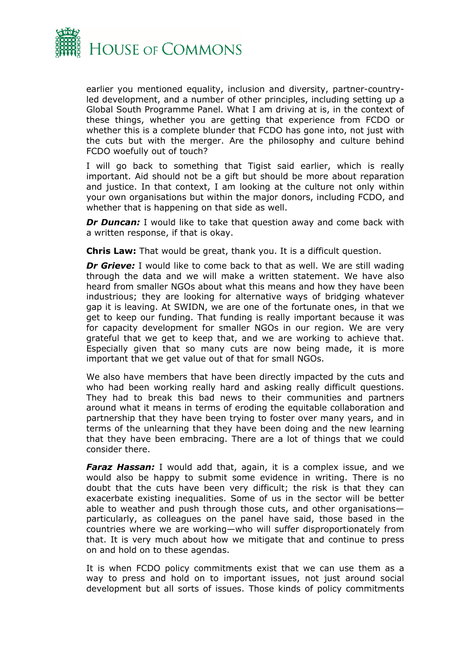

earlier you mentioned equality, inclusion and diversity, partner-countryled development, and a number of other principles, including setting up a Global South Programme Panel. What I am driving at is, in the context of these things, whether you are getting that experience from FCDO or whether this is a complete blunder that FCDO has gone into, not just with the cuts but with the merger. Are the philosophy and culture behind FCDO woefully out of touch?

I will go back to something that Tigist said earlier, which is really important. Aid should not be a gift but should be more about reparation and justice. In that context, I am looking at the culture not only within your own organisations but within the major donors, including FCDO, and whether that is happening on that side as well.

**Dr Duncan:** I would like to take that question away and come back with a written response, if that is okay.

**Chris Law:** That would be great, thank you. It is a difficult question.

**Dr Grieve:** I would like to come back to that as well. We are still wading through the data and we will make a written statement. We have also heard from smaller NGOs about what this means and how they have been industrious; they are looking for alternative ways of bridging whatever gap it is leaving. At SWIDN, we are one of the fortunate ones, in that we get to keep our funding. That funding is really important because it was for capacity development for smaller NGOs in our region. We are very grateful that we get to keep that, and we are working to achieve that. Especially given that so many cuts are now being made, it is more important that we get value out of that for small NGOs.

We also have members that have been directly impacted by the cuts and who had been working really hard and asking really difficult questions. They had to break this bad news to their communities and partners around what it means in terms of eroding the equitable collaboration and partnership that they have been trying to foster over many years, and in terms of the unlearning that they have been doing and the new learning that they have been embracing. There are a lot of things that we could consider there.

*Faraz Hassan:* I would add that, again, it is a complex issue, and we would also be happy to submit some evidence in writing. There is no doubt that the cuts have been very difficult; the risk is that they can exacerbate existing inequalities. Some of us in the sector will be better able to weather and push through those cuts, and other organisations particularly, as colleagues on the panel have said, those based in the countries where we are working—who will suffer disproportionately from that. It is very much about how we mitigate that and continue to press on and hold on to these agendas.

It is when FCDO policy commitments exist that we can use them as a way to press and hold on to important issues, not just around social development but all sorts of issues. Those kinds of policy commitments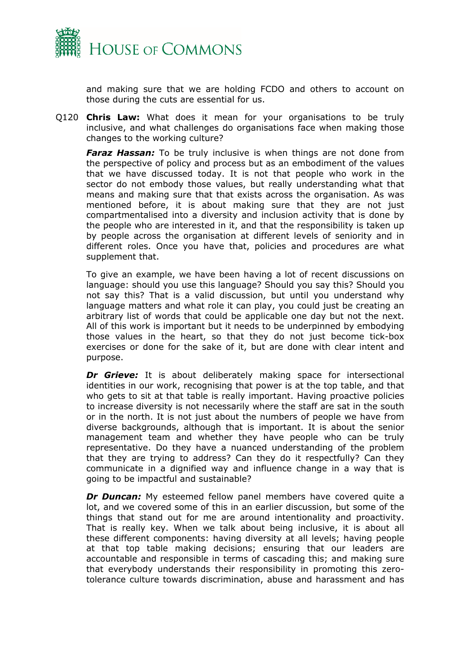

and making sure that we are holding FCDO and others to account on those during the cuts are essential for us.

Q120 **Chris Law:** What does it mean for your organisations to be truly inclusive, and what challenges do organisations face when making those changes to the working culture?

*Faraz Hassan:* To be truly inclusive is when things are not done from the perspective of policy and process but as an embodiment of the values that we have discussed today. It is not that people who work in the sector do not embody those values, but really understanding what that means and making sure that that exists across the organisation. As was mentioned before, it is about making sure that they are not just compartmentalised into a diversity and inclusion activity that is done by the people who are interested in it, and that the responsibility is taken up by people across the organisation at different levels of seniority and in different roles. Once you have that, policies and procedures are what supplement that.

To give an example, we have been having a lot of recent discussions on language: should you use this language? Should you say this? Should you not say this? That is a valid discussion, but until you understand why language matters and what role it can play, you could just be creating an arbitrary list of words that could be applicable one day but not the next. All of this work is important but it needs to be underpinned by embodying those values in the heart, so that they do not just become tick-box exercises or done for the sake of it, but are done with clear intent and purpose.

**Dr Grieve:** It is about deliberately making space for intersectional identities in our work, recognising that power is at the top table, and that who gets to sit at that table is really important. Having proactive policies to increase diversity is not necessarily where the staff are sat in the south or in the north. It is not just about the numbers of people we have from diverse backgrounds, although that is important. It is about the senior management team and whether they have people who can be truly representative. Do they have a nuanced understanding of the problem that they are trying to address? Can they do it respectfully? Can they communicate in a dignified way and influence change in a way that is going to be impactful and sustainable?

*Dr Duncan:* My esteemed fellow panel members have covered quite a lot, and we covered some of this in an earlier discussion, but some of the things that stand out for me are around intentionality and proactivity. That is really key. When we talk about being inclusive, it is about all these different components: having diversity at all levels; having people at that top table making decisions; ensuring that our leaders are accountable and responsible in terms of cascading this; and making sure that everybody understands their responsibility in promoting this zerotolerance culture towards discrimination, abuse and harassment and has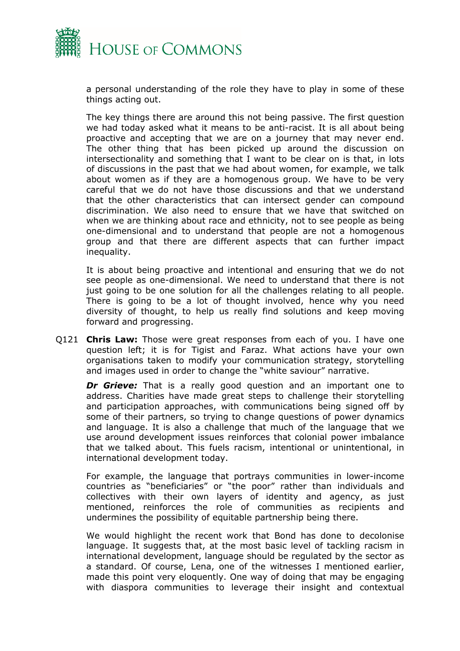

a personal understanding of the role they have to play in some of these things acting out.

The key things there are around this not being passive. The first question we had today asked what it means to be anti-racist. It is all about being proactive and accepting that we are on a journey that may never end. The other thing that has been picked up around the discussion on intersectionality and something that I want to be clear on is that, in lots of discussions in the past that we had about women, for example, we talk about women as if they are a homogenous group. We have to be very careful that we do not have those discussions and that we understand that the other characteristics that can intersect gender can compound discrimination. We also need to ensure that we have that switched on when we are thinking about race and ethnicity, not to see people as being one-dimensional and to understand that people are not a homogenous group and that there are different aspects that can further impact inequality.

It is about being proactive and intentional and ensuring that we do not see people as one-dimensional. We need to understand that there is not just going to be one solution for all the challenges relating to all people. There is going to be a lot of thought involved, hence why you need diversity of thought, to help us really find solutions and keep moving forward and progressing.

Q121 **Chris Law:** Those were great responses from each of you. I have one question left; it is for Tigist and Faraz. What actions have your own organisations taken to modify your communication strategy, storytelling and images used in order to change the "white saviour" narrative.

**Dr Grieve:** That is a really good question and an important one to address. Charities have made great steps to challenge their storytelling and participation approaches, with communications being signed off by some of their partners, so trying to change questions of power dynamics and language. It is also a challenge that much of the language that we use around development issues reinforces that colonial power imbalance that we talked about. This fuels racism, intentional or unintentional, in international development today.

For example, the language that portrays communities in lower-income countries as "beneficiaries" or "the poor" rather than individuals and collectives with their own layers of identity and agency, as just mentioned, reinforces the role of communities as recipients and undermines the possibility of equitable partnership being there.

We would highlight the recent work that Bond has done to decolonise language. It suggests that, at the most basic level of tackling racism in international development, language should be regulated by the sector as a standard. Of course, Lena, one of the witnesses I mentioned earlier, made this point very eloquently. One way of doing that may be engaging with diaspora communities to leverage their insight and contextual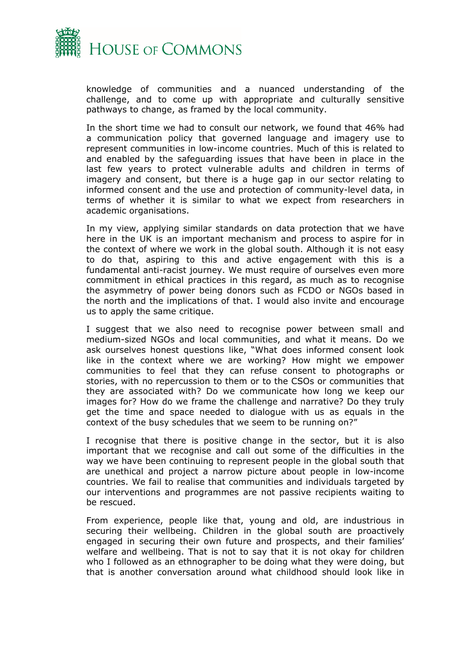

knowledge of communities and a nuanced understanding of the challenge, and to come up with appropriate and culturally sensitive pathways to change, as framed by the local community.

In the short time we had to consult our network, we found that 46% had a communication policy that governed language and imagery use to represent communities in low-income countries. Much of this is related to and enabled by the safeguarding issues that have been in place in the last few years to protect vulnerable adults and children in terms of imagery and consent, but there is a huge gap in our sector relating to informed consent and the use and protection of community-level data, in terms of whether it is similar to what we expect from researchers in academic organisations.

In my view, applying similar standards on data protection that we have here in the UK is an important mechanism and process to aspire for in the context of where we work in the global south. Although it is not easy to do that, aspiring to this and active engagement with this is a fundamental anti-racist journey. We must require of ourselves even more commitment in ethical practices in this regard, as much as to recognise the asymmetry of power being donors such as FCDO or NGOs based in the north and the implications of that. I would also invite and encourage us to apply the same critique.

I suggest that we also need to recognise power between small and medium-sized NGOs and local communities, and what it means. Do we ask ourselves honest questions like, "What does informed consent look like in the context where we are working? How might we empower communities to feel that they can refuse consent to photographs or stories, with no repercussion to them or to the CSOs or communities that they are associated with? Do we communicate how long we keep our images for? How do we frame the challenge and narrative? Do they truly get the time and space needed to dialogue with us as equals in the context of the busy schedules that we seem to be running on?"

I recognise that there is positive change in the sector, but it is also important that we recognise and call out some of the difficulties in the way we have been continuing to represent people in the global south that are unethical and project a narrow picture about people in low-income countries. We fail to realise that communities and individuals targeted by our interventions and programmes are not passive recipients waiting to be rescued.

From experience, people like that, young and old, are industrious in securing their wellbeing. Children in the global south are proactively engaged in securing their own future and prospects, and their families' welfare and wellbeing. That is not to say that it is not okay for children who I followed as an ethnographer to be doing what they were doing, but that is another conversation around what childhood should look like in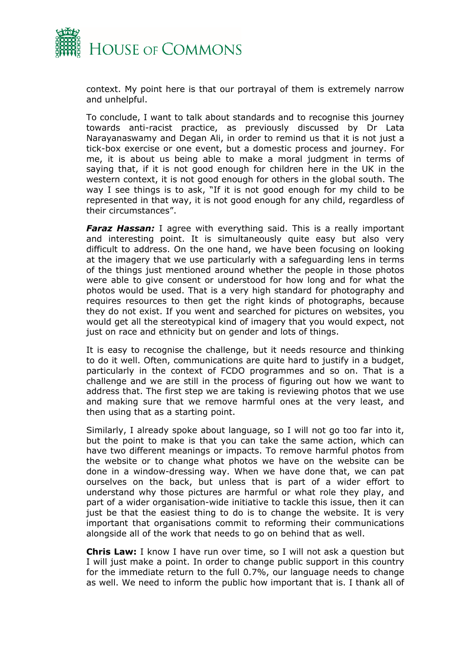

context. My point here is that our portrayal of them is extremely narrow and unhelpful.

To conclude, I want to talk about standards and to recognise this journey towards anti-racist practice, as previously discussed by Dr Lata Narayanaswamy and Degan Ali, in order to remind us that it is not just a tick-box exercise or one event, but a domestic process and journey. For me, it is about us being able to make a moral judgment in terms of saying that, if it is not good enough for children here in the UK in the western context, it is not good enough for others in the global south. The way I see things is to ask, "If it is not good enough for my child to be represented in that way, it is not good enough for any child, regardless of their circumstances".

*Faraz Hassan:* I agree with everything said. This is a really important and interesting point. It is simultaneously quite easy but also very difficult to address. On the one hand, we have been focusing on looking at the imagery that we use particularly with a safeguarding lens in terms of the things just mentioned around whether the people in those photos were able to give consent or understood for how long and for what the photos would be used. That is a very high standard for photography and requires resources to then get the right kinds of photographs, because they do not exist. If you went and searched for pictures on websites, you would get all the stereotypical kind of imagery that you would expect, not just on race and ethnicity but on gender and lots of things.

It is easy to recognise the challenge, but it needs resource and thinking to do it well. Often, communications are quite hard to justify in a budget, particularly in the context of FCDO programmes and so on. That is a challenge and we are still in the process of figuring out how we want to address that. The first step we are taking is reviewing photos that we use and making sure that we remove harmful ones at the very least, and then using that as a starting point.

Similarly, I already spoke about language, so I will not go too far into it, but the point to make is that you can take the same action, which can have two different meanings or impacts. To remove harmful photos from the website or to change what photos we have on the website can be done in a window-dressing way. When we have done that, we can pat ourselves on the back, but unless that is part of a wider effort to understand why those pictures are harmful or what role they play, and part of a wider organisation-wide initiative to tackle this issue, then it can just be that the easiest thing to do is to change the website. It is very important that organisations commit to reforming their communications alongside all of the work that needs to go on behind that as well.

**Chris Law:** I know I have run over time, so I will not ask a question but I will just make a point. In order to change public support in this country for the immediate return to the full 0.7%, our language needs to change as well. We need to inform the public how important that is. I thank all of